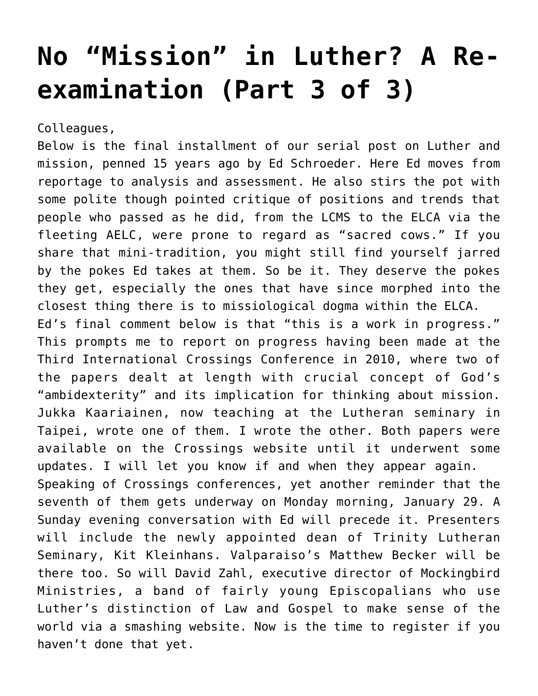## **[No "Mission" in Luther? A Re](https://crossings.org/no-mission-in-luther-a-re-examination-part-3-of-3/)[examination \(Part 3 of 3\)](https://crossings.org/no-mission-in-luther-a-re-examination-part-3-of-3/)**

Colleagues,

Below is the final installment of our serial post on Luther and mission, penned 15 years ago by Ed Schroeder. Here Ed moves from reportage to analysis and assessment. He also stirs the pot with some polite though pointed critique of positions and trends that people who passed as he did, from the LCMS to the ELCA via the fleeting AELC, were prone to regard as "sacred cows." If you share that mini-tradition, you might still find yourself jarred by the pokes Ed takes at them. So be it. They deserve the pokes they get, especially the ones that have since morphed into the closest thing there is to missiological dogma within the ELCA. Ed's final comment below is that "this is a work in progress." This prompts me to report on progress having been made at the Third International Crossings Conference in 2010, where two of the papers dealt at length with crucial concept of God's "ambidexterity" and its implication for thinking about mission. Jukka Kaariainen, now teaching at the Lutheran seminary in Taipei, wrote one of them. I wrote the other. Both papers were available on the Crossings website until it underwent some updates. I will let you know if and when they appear again. Speaking of Crossings conferences, yet another reminder that the seventh of them gets underway on Monday morning, January 29. A Sunday evening conversation with Ed will precede it. Presenters will include the newly appointed dean of Trinity Lutheran Seminary, Kit Kleinhans. Valparaiso's Matthew Becker will be there too. So will David Zahl, executive director of Mockingbird Ministries, a band of fairly young Episcopalians who use Luther's distinction of Law and Gospel to make sense of the world via a smashing website. Now is the time to register if you haven't done that yet.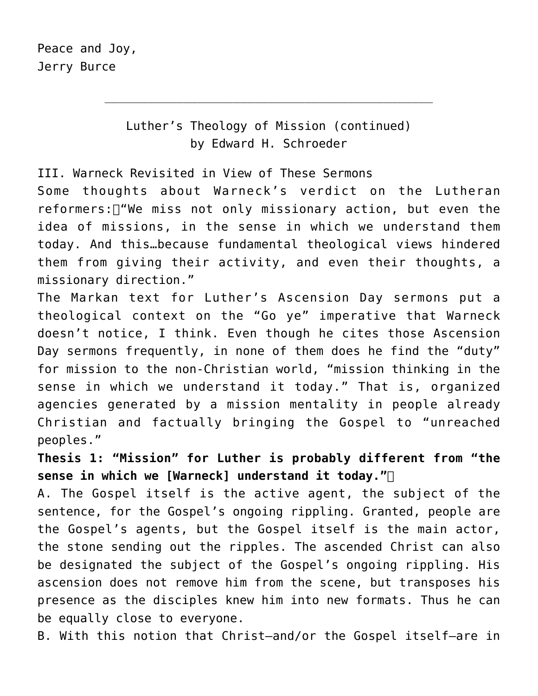Luther's Theology of Mission (continued) by Edward H. Schroeder

\_\_\_\_\_\_\_\_\_\_\_\_\_\_\_\_\_\_\_\_\_\_\_\_\_\_\_\_\_\_\_\_\_\_\_\_\_\_\_\_\_\_\_\_\_\_

III. Warneck Revisited in View of These Sermons

Some thoughts about Warneck's verdict on the Lutheran reformers:  $\Box$  "We miss not only missionary action, but even the idea of missions, in the sense in which we understand them today. And this…because fundamental theological views hindered them from giving their activity, and even their thoughts, a missionary direction."

The Markan text for Luther's Ascension Day sermons put a theological context on the "Go ye" imperative that Warneck doesn't notice, I think. Even though he cites those Ascension Day sermons frequently, in none of them does he find the "duty" for mission to the non-Christian world, "mission thinking in the sense in which we understand it today." That is, organized agencies generated by a mission mentality in people already Christian and factually bringing the Gospel to "unreached peoples."

**Thesis 1: "Mission" for Luther is probably different from "the sense in which we [Warneck] understand it today."** 

A. The Gospel itself is the active agent, the subject of the sentence, for the Gospel's ongoing rippling. Granted, people are the Gospel's agents, but the Gospel itself is the main actor, the stone sending out the ripples. The ascended Christ can also be designated the subject of the Gospel's ongoing rippling. His ascension does not remove him from the scene, but transposes his presence as the disciples knew him into new formats. Thus he can be equally close to everyone.

B. With this notion that Christ—and/or the Gospel itself—are in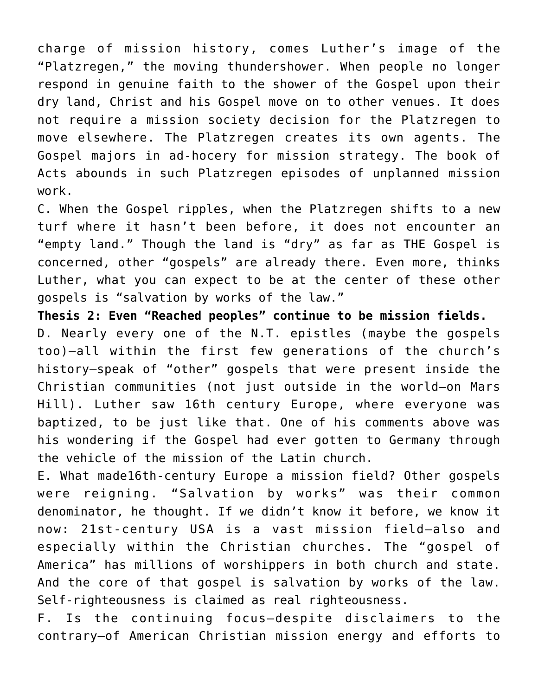charge of mission history, comes Luther's image of the "Platzregen," the moving thundershower. When people no longer respond in genuine faith to the shower of the Gospel upon their dry land, Christ and his Gospel move on to other venues. It does not require a mission society decision for the Platzregen to move elsewhere. The Platzregen creates its own agents. The Gospel majors in ad-hocery for mission strategy. The book of Acts abounds in such Platzregen episodes of unplanned mission work.

C. When the Gospel ripples, when the Platzregen shifts to a new turf where it hasn't been before, it does not encounter an "empty land." Though the land is "dry" as far as THE Gospel is concerned, other "gospels" are already there. Even more, thinks Luther, what you can expect to be at the center of these other gospels is "salvation by works of the law."

**Thesis 2: Even "Reached peoples" continue to be mission fields.** D. Nearly every one of the N.T. epistles (maybe the gospels too)—all within the first few generations of the church's history—speak of "other" gospels that were present inside the Christian communities (not just outside in the world—on Mars Hill). Luther saw 16th century Europe, where everyone was baptized, to be just like that. One of his comments above was his wondering if the Gospel had ever gotten to Germany through the vehicle of the mission of the Latin church.

E. What made16th-century Europe a mission field? Other gospels were reigning. "Salvation by works" was their common denominator, he thought. If we didn't know it before, we know it now: 21st-century USA is a vast mission field—also and especially within the Christian churches. The "gospel of America" has millions of worshippers in both church and state. And the core of that gospel is salvation by works of the law. Self-righteousness is claimed as real righteousness.

F. Is the continuing focus—despite disclaimers to the contrary—of American Christian mission energy and efforts to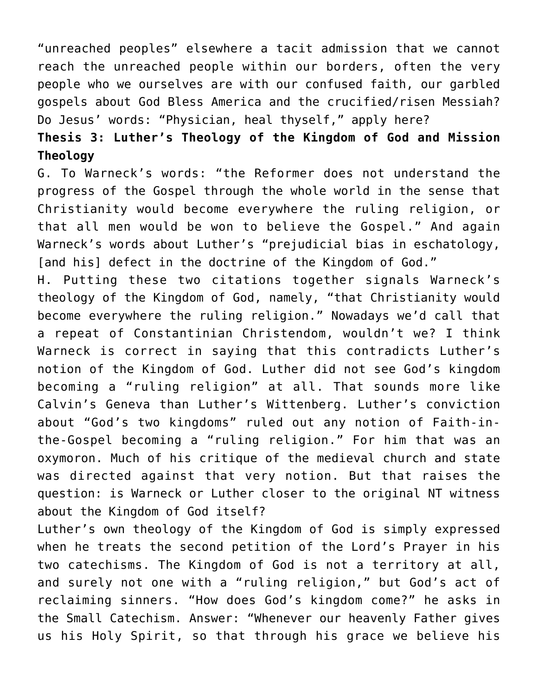"unreached peoples" elsewhere a tacit admission that we cannot reach the unreached people within our borders, often the very people who we ourselves are with our confused faith, our garbled gospels about God Bless America and the crucified/risen Messiah? Do Jesus' words: "Physician, heal thyself," apply here?

## **Thesis 3: Luther's Theology of the Kingdom of God and Mission Theology**

G. To Warneck's words: "the Reformer does not understand the progress of the Gospel through the whole world in the sense that Christianity would become everywhere the ruling religion, or that all men would be won to believe the Gospel." And again Warneck's words about Luther's "prejudicial bias in eschatology, [and his] defect in the doctrine of the Kingdom of God."

H. Putting these two citations together signals Warneck's theology of the Kingdom of God, namely, "that Christianity would become everywhere the ruling religion." Nowadays we'd call that a repeat of Constantinian Christendom, wouldn't we? I think Warneck is correct in saying that this contradicts Luther's notion of the Kingdom of God. Luther did not see God's kingdom becoming a "ruling religion" at all. That sounds more like Calvin's Geneva than Luther's Wittenberg. Luther's conviction about "God's two kingdoms" ruled out any notion of Faith-inthe-Gospel becoming a "ruling religion." For him that was an oxymoron. Much of his critique of the medieval church and state was directed against that very notion. But that raises the question: is Warneck or Luther closer to the original NT witness about the Kingdom of God itself?

Luther's own theology of the Kingdom of God is simply expressed when he treats the second petition of the Lord's Prayer in his two catechisms. The Kingdom of God is not a territory at all, and surely not one with a "ruling religion," but God's act of reclaiming sinners. "How does God's kingdom come?" he asks in the Small Catechism. Answer: "Whenever our heavenly Father gives us his Holy Spirit, so that through his grace we believe his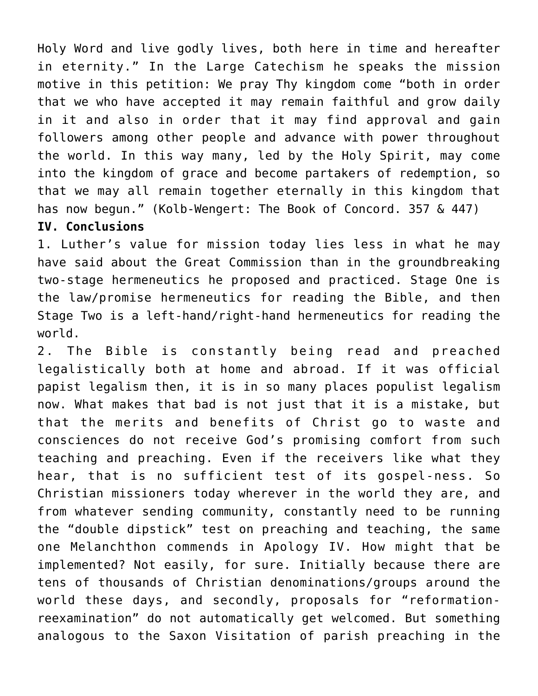Holy Word and live godly lives, both here in time and hereafter in eternity." In the Large Catechism he speaks the mission motive in this petition: We pray Thy kingdom come "both in order that we who have accepted it may remain faithful and grow daily in it and also in order that it may find approval and gain followers among other people and advance with power throughout the world. In this way many, led by the Holy Spirit, may come into the kingdom of grace and become partakers of redemption, so that we may all remain together eternally in this kingdom that has now begun." (Kolb-Wengert: The Book of Concord. 357 & 447)

## **IV. Conclusions**

1. Luther's value for mission today lies less in what he may have said about the Great Commission than in the groundbreaking two-stage hermeneutics he proposed and practiced. Stage One is the law/promise hermeneutics for reading the Bible, and then Stage Two is a left-hand/right-hand hermeneutics for reading the world.

2. The Bible is constantly being read and preached legalistically both at home and abroad. If it was official papist legalism then, it is in so many places populist legalism now. What makes that bad is not just that it is a mistake, but that the merits and benefits of Christ go to waste and consciences do not receive God's promising comfort from such teaching and preaching. Even if the receivers like what they hear, that is no sufficient test of its gospel-ness. So Christian missioners today wherever in the world they are, and from whatever sending community, constantly need to be running the "double dipstick" test on preaching and teaching, the same one Melanchthon commends in Apology IV. How might that be implemented? Not easily, for sure. Initially because there are tens of thousands of Christian denominations/groups around the world these days, and secondly, proposals for "reformationreexamination" do not automatically get welcomed. But something analogous to the Saxon Visitation of parish preaching in the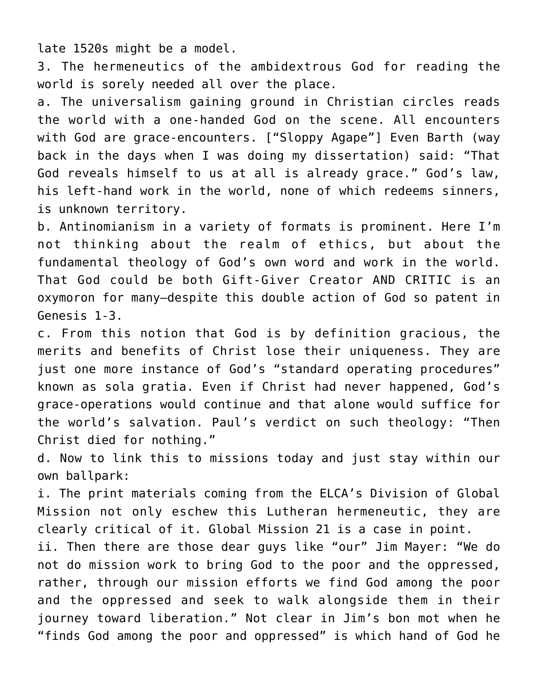late 1520s might be a model.

3. The hermeneutics of the ambidextrous God for reading the world is sorely needed all over the place.

a. The universalism gaining ground in Christian circles reads the world with a one-handed God on the scene. All encounters with God are grace-encounters. ["Sloppy Agape"] Even Barth (way back in the days when I was doing my dissertation) said: "That God reveals himself to us at all is already grace." God's law, his left-hand work in the world, none of which redeems sinners, is unknown territory.

b. Antinomianism in a variety of formats is prominent. Here I'm not thinking about the realm of ethics, but about the fundamental theology of God's own word and work in the world. That God could be both Gift-Giver Creator AND CRITIC is an oxymoron for many—despite this double action of God so patent in Genesis 1-3.

c. From this notion that God is by definition gracious, the merits and benefits of Christ lose their uniqueness. They are just one more instance of God's "standard operating procedures" known as sola gratia. Even if Christ had never happened, God's grace-operations would continue and that alone would suffice for the world's salvation. Paul's verdict on such theology: "Then Christ died for nothing."

d. Now to link this to missions today and just stay within our own ballpark:

i. The print materials coming from the ELCA's Division of Global Mission not only eschew this Lutheran hermeneutic, they are clearly critical of it. Global Mission 21 is a case in point.

ii. Then there are those dear guys like "our" Jim Mayer: "We do not do mission work to bring God to the poor and the oppressed, rather, through our mission efforts we find God among the poor and the oppressed and seek to walk alongside them in their journey toward liberation." Not clear in Jim's bon mot when he "finds God among the poor and oppressed" is which hand of God he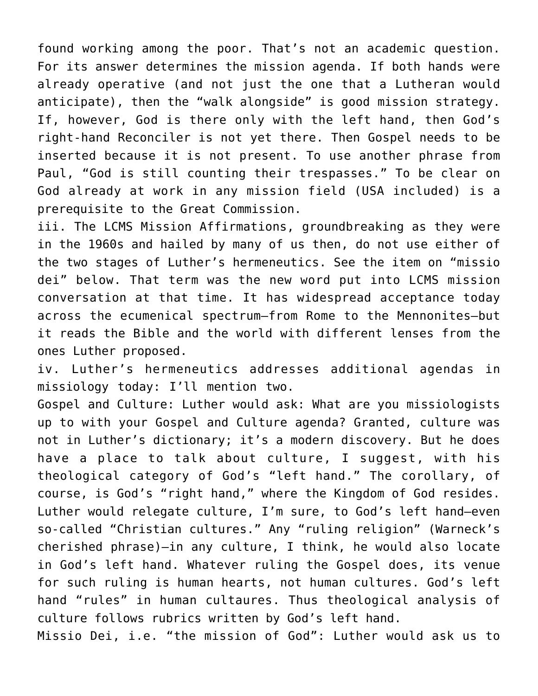found working among the poor. That's not an academic question. For its answer determines the mission agenda. If both hands were already operative (and not just the one that a Lutheran would anticipate), then the "walk alongside" is good mission strategy. If, however, God is there only with the left hand, then God's right-hand Reconciler is not yet there. Then Gospel needs to be inserted because it is not present. To use another phrase from Paul, "God is still counting their trespasses." To be clear on God already at work in any mission field (USA included) is a prerequisite to the Great Commission.

iii. The LCMS Mission Affirmations, groundbreaking as they were in the 1960s and hailed by many of us then, do not use either of the two stages of Luther's hermeneutics. See the item on "missio dei" below. That term was the new word put into LCMS mission conversation at that time. It has widespread acceptance today across the ecumenical spectrum—from Rome to the Mennonites—but it reads the Bible and the world with different lenses from the ones Luther proposed.

iv. Luther's hermeneutics addresses additional agendas in missiology today: I'll mention two.

Gospel and Culture: Luther would ask: What are you missiologists up to with your Gospel and Culture agenda? Granted, culture was not in Luther's dictionary; it's a modern discovery. But he does have a place to talk about culture, I suggest, with his theological category of God's "left hand." The corollary, of course, is God's "right hand," where the Kingdom of God resides. Luther would relegate culture, I'm sure, to God's left hand—even so-called "Christian cultures." Any "ruling religion" (Warneck's cherished phrase)—in any culture, I think, he would also locate in God's left hand. Whatever ruling the Gospel does, its venue for such ruling is human hearts, not human cultures. God's left hand "rules" in human cultaures. Thus theological analysis of culture follows rubrics written by God's left hand.

Missio Dei, i.e. "the mission of God": Luther would ask us to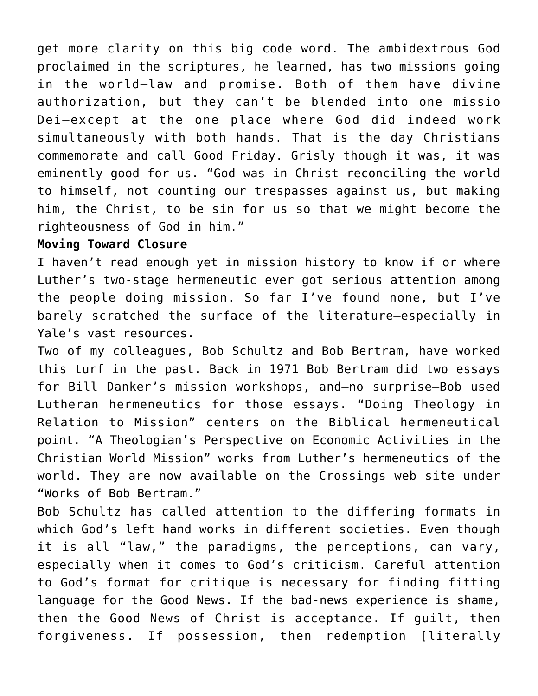get more clarity on this big code word. The ambidextrous God proclaimed in the scriptures, he learned, has two missions going in the world—law and promise. Both of them have divine authorization, but they can't be blended into one missio Dei—except at the one place where God did indeed work simultaneously with both hands. That is the day Christians commemorate and call Good Friday. Grisly though it was, it was eminently good for us. "God was in Christ reconciling the world to himself, not counting our trespasses against us, but making him, the Christ, to be sin for us so that we might become the righteousness of God in him."

## **Moving Toward Closure**

I haven't read enough yet in mission history to know if or where Luther's two-stage hermeneutic ever got serious attention among the people doing mission. So far I've found none, but I've barely scratched the surface of the literature—especially in Yale's vast resources.

Two of my colleagues, Bob Schultz and Bob Bertram, have worked this turf in the past. Back in 1971 Bob Bertram did two essays for Bill Danker's mission workshops, and—no surprise—Bob used Lutheran hermeneutics for those essays. "Doing Theology in Relation to Mission" centers on the Biblical hermeneutical point. "A Theologian's Perspective on Economic Activities in the Christian World Mission" works from Luther's hermeneutics of the world. They are now available on the Crossings web site under "Works of Bob Bertram."

Bob Schultz has called attention to the differing formats in which God's left hand works in different societies. Even though it is all "law," the paradigms, the perceptions, can vary, especially when it comes to God's criticism. Careful attention to God's format for critique is necessary for finding fitting language for the Good News. If the bad-news experience is shame, then the Good News of Christ is acceptance. If guilt, then forgiveness. If possession, then redemption [literally